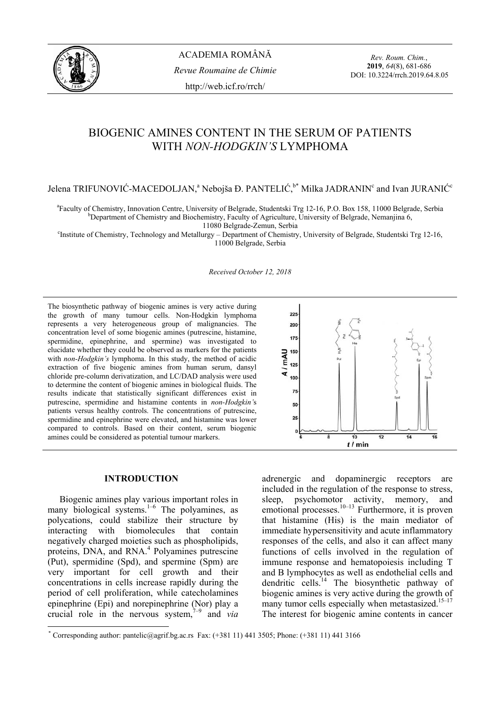

*Rev. Roum. Chim.*, **2019**, *64*(8), 681-686 DOI: 10.3224/rrch.2019.64.8.05

# BIOGENIC AMINES CONTENT IN THE SERUM OF PATIENTS WITH *NON-HODGKIN'S* LYMPHOMA

Jelena TRIFUNOVIĆ-MACEDOLJAN,ª Nebojša Đ. PANTELIĆ,  $^{\flat^*}$  Milka JADRANIN° and Ivan JURANIư

<sup>a</sup> Faculty of Chemistry, Innovation Centre, University of Belgrade, Studentski Trg 12-16, P.O. Box 158, 11000 Belgrade, Serbia b<br>b Department of Chemistry and Biochamistry, Feculty of Agriculture, University of Belgrade,  $b^{\text{D}}$ Department of Chemistry and Biochemistry, Faculty of Agriculture, University of Belgrade, Nemanjina 6,

11080 Belgrade-Zemun, Serbia

c Institute of Chemistry, Technology and Metallurgy – Department of Chemistry, University of Belgrade, Studentski Trg 12-16, 11000 Belgrade, Serbia

*Received October 12, 2018* 

The biosynthetic pathway of biogenic amines is very active during the growth of many tumour cells. Non-Hodgkin lymphoma represents a very heterogeneous group of malignancies. The concentration level of some biogenic amines (putrescine, histamine, spermidine, epinephrine, and spermine) was investigated to elucidate whether they could be observed as markers for the patients with *non-Hodgkin's* lymphoma. In this study, the method of acidic extraction of five biogenic amines from human serum, dansyl chloride pre-column derivatization, and LC/DAD analysis were used to determine the content of biogenic amines in biological fluids. The results indicate that statistically significant differences exist in putrescine, spermidine and histamine contents in *non-Hodgkin'*s patients versus healthy controls. The concentrations of putrescine, spermidine and epinephrine were elevated, and histamine was lower compared to controls. Based on their content, serum biogenic amines could be considered as potential tumour markers.



# **INTRODUCTION\***

Biogenic amines play various important roles in many biological systems.<sup>1–6</sup> The polyamines, as polycations, could stabilize their structure by interacting with biomolecules that contain negatively charged moieties such as phospholipids, proteins, DNA, and RNA.<sup>4</sup> Polyamines putrescine (Put), spermidine (Spd), and spermine (Spm) are very important for cell growth and their concentrations in cells increase rapidly during the period of cell proliferation, while catecholamines epinephrine (Epi) and norepinephrine (Nor) play a crucial role in the nervous system,  $\frac{1}{7}$  and *via* 

 $\overline{a}$ 

adrenergic and dopaminergic receptors are included in the regulation of the response to stress, sleep, psychomotor activity, memory, and emotional processes.<sup>10–13</sup> Furthermore, it is proven that histamine (His) is the main mediator of immediate hypersensitivity and acute inflammatory responses of the cells, and also it can affect many functions of cells involved in the regulation of immune response and hematopoiesis including T and B lymphocytes as well as endothelial cells and dendritic cells.14 The biosynthetic pathway of biogenic amines is very active during the growth of many tumor cells especially when metastasized.<sup>15–17</sup> The interest for biogenic amine contents in cancer

\* Corresponding author: pantelic@agrif.bg.ac.rs Fax: (+381 11) 441 3505; Phone: (+381 11) 441 3166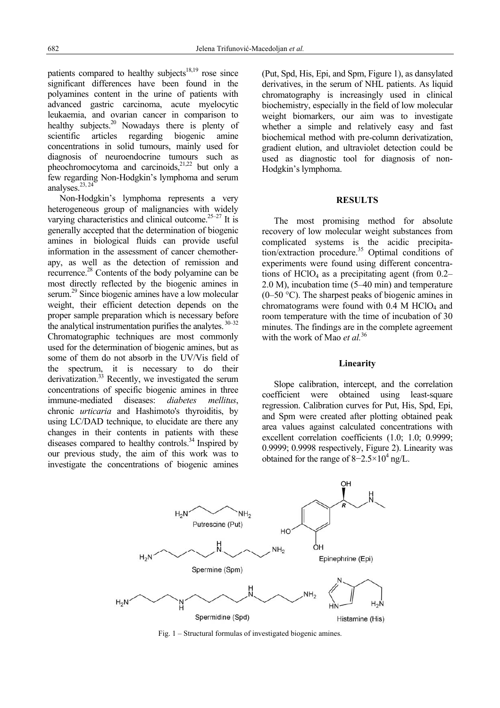patients compared to healthy subjects $18,19$  rose since significant differences have been found in the polyamines content in the urine of patients with advanced gastric carcinoma, acute myelocytic leukaemia, and ovarian cancer in comparison to healthy subjects.<sup>20</sup> Nowadays there is plenty of scientific articles regarding biogenic amine concentrations in solid tumours, mainly used for diagnosis of neuroendocrine tumours such as pheochromocytoma and carcinoids, $2^{1,22}$  but only a few regarding Non-Hodgkin's lymphoma and serum analyses. $23, 24$ 

Non-Hodgkin's lymphoma represents a very heterogeneous group of malignancies with widely varying characteristics and clinical outcome.<sup>25-27</sup> It is generally accepted that the determination of biogenic amines in biological fluids can provide useful information in the assessment of cancer chemotherapy, as well as the detection of remission and recurrence.28 Contents of the body polyamine can be most directly reflected by the biogenic amines in serum.<sup>29</sup> Since biogenic amines have a low molecular weight, their efficient detection depends on the proper sample preparation which is necessary before the analytical instrumentation purifies the analytes.  $30-32$ Chromatographic techniques are most commonly used for the determination of biogenic amines, but as some of them do not absorb in the UV/Vis field of the spectrum, it is necessary to do their derivatization. $33$  Recently, we investigated the serum concentrations of specific biogenic amines in three immune-mediated diseases: *diabetes mellitus*, chronic *urticaria* and Hashimoto's thyroiditis, by using LC/DAD technique, to elucidate are there any changes in their contents in patients with these diseases compared to healthy controls.34 Inspired by our previous study, the aim of this work was to investigate the concentrations of biogenic amines (Put, Spd, His, Epi, and Spm, Figure 1), as dansylated derivatives, in the serum of NHL patients. As liquid chromatography is increasingly used in clinical biochemistry, especially in the field of low molecular weight biomarkers, our aim was to investigate whether a simple and relatively easy and fast biochemical method with pre-column derivatization, gradient elution, and ultraviolet detection could be used as diagnostic tool for diagnosis of non-Hodgkin's lymphoma.

### **RESULTS**

The most promising method for absolute recovery of low molecular weight substances from complicated systems is the acidic precipitation/extraction procedure.35 Optimal conditions of experiments were found using different concentrations of HClO<sub>4</sub> as a precipitating agent (from  $0.2-$ 2.0 M), incubation time (5–40 min) and temperature  $(0-50 \degree C)$ . The sharpest peaks of biogenic amines in chromatograms were found with  $0.4$  M HClO<sub>4</sub> and room temperature with the time of incubation of 30 minutes. The findings are in the complete agreement with the work of Mao *et al.*36

## **Linearity**

Slope calibration, intercept, and the correlation coefficient were obtained using least-square regression. Calibration curves for Put, His, Spd, Epi, and Spm were created after plotting obtained peak area values against calculated concentrations with excellent correlation coefficients (1.0; 1.0; 0.9999; 0.9999; 0.9998 respectively, Figure 2). Linearity was obtained for the range of  $8-2.5\times10^4$  ng/L.



Fig. 1 – Structural formulas of investigated biogenic amines.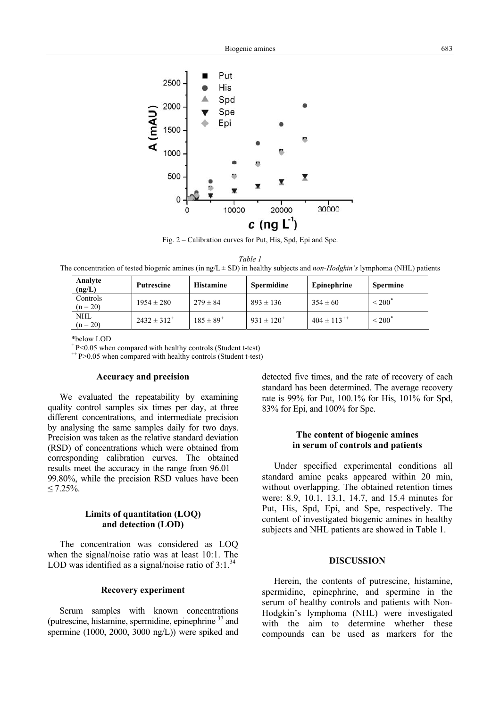

Fig. 2 – Calibration curves for Put, His, Spd, Epi and Spe.

*Table 1* The concentration of tested biogenic amines (in ng/L ± SD) in healthy subjects and *non-Hodgkin's* lymphoma (NHL) patients

| Analyte<br>(ng/L)        | Putrescine         | <b>Histamine</b> | <b>Spermidine</b> | Epinephrine        | <b>Spermine</b>      |
|--------------------------|--------------------|------------------|-------------------|--------------------|----------------------|
| Controls<br>$(n = 20)$   | $1954 \pm 280$     | $279 \pm 84$     | $893 \pm 136$     | $354 \pm 60$       | $< 200$ <sup>*</sup> |
| <b>NHL</b><br>$(n = 20)$ | $2432 \pm 312^{+}$ | $185 \pm 89^{+}$ | $931 \pm 120^{+}$ | $404 \pm 113^{++}$ | $\leq 200^{*}$       |

\*below LOD<br>+ P<0.05 when compared with healthy controls (Student t-test)

 $+$  P $>$ 0.05 when compared with healthy controls (Student t-test)

### **Accuracy and precision**

We evaluated the repeatability by examining quality control samples six times per day, at three different concentrations, and intermediate precision by analysing the same samples daily for two days. Precision was taken as the relative standard deviation (RSD) of concentrations which were obtained from corresponding calibration curves. The obtained results meet the accuracy in the range from 96.01 − 99.80%, while the precision RSD values have been  $≤ 7.25%$ .

# **Limits of quantitation (LOQ) and detection (LOD)**

The concentration was considered as LOQ when the signal/noise ratio was at least 10:1. The LOD was identified as a signal/noise ratio of  $3:1.^{34}$ 

# **Recovery experiment**

Serum samples with known concentrations (putrescine, histamine, spermidine, epinephrine  $37$  and spermine  $(1000, 2000, 3000, \text{ng/L})$  were spiked and

detected five times, and the rate of recovery of each standard has been determined. The average recovery rate is 99% for Put, 100.1% for His, 101% for Spd, 83% for Epi, and 100% for Spe.

# **The content of biogenic amines in serum of controls and patients**

Under specified experimental conditions all standard amine peaks appeared within 20 min, without overlapping. The obtained retention times were: 8.9, 10.1, 13.1, 14.7, and 15.4 minutes for Put, His, Spd, Epi, and Spe, respectively. The content of investigated biogenic amines in healthy subjects and NHL patients are showed in Table 1.

# **DISCUSSION**

Herein, the contents of putrescine, histamine, spermidine, epinephrine, and spermine in the serum of healthy controls and patients with Non-Hodgkin's lymphoma (NHL) were investigated with the aim to determine whether these compounds can be used as markers for the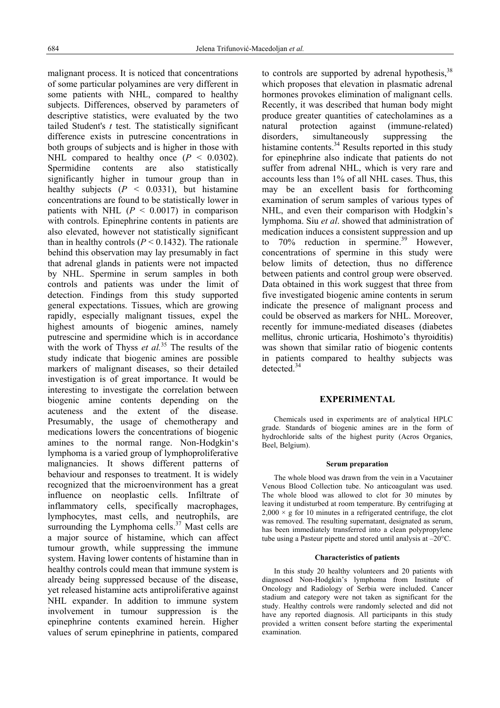malignant process. It is noticed that concentrations of some particular polyamines are very different in some patients with NHL, compared to healthy subjects. Differences, observed by parameters of descriptive statistics, were evaluated by the two tailed Student's *t* test. The statistically significant difference exists in putrescine concentrations in both groups of subjects and is higher in those with NHL compared to healthy once  $(P < 0.0302)$ . Spermidine contents are also statistically significantly higher in tumour group than in healthy subjects  $(P \leq 0.0331)$ , but histamine concentrations are found to be statistically lower in patients with NHL  $(P < 0.0017)$  in comparison with controls. Epinephrine contents in patients are also elevated, however not statistically significant than in healthy controls  $(P < 0.1432)$ . The rationale behind this observation may lay presumably in fact that adrenal glands in patients were not impacted by NHL. Spermine in serum samples in both controls and patients was under the limit of detection. Findings from this study supported general expectations. Tissues, which are growing rapidly, especially malignant tissues, expel the highest amounts of biogenic amines, namely putrescine and spermidine which is in accordance with the work of Thyss *et al.*<sup>35</sup> The results of the study indicate that biogenic amines are possible markers of malignant diseases, so their detailed investigation is of great importance. It would be interesting to investigate the correlation between biogenic amine contents depending on the acuteness and the extent of the disease. Presumably, the usage of chemotherapy and medications lowers the concentrations of biogenic amines to the normal range. Non-Hodgkin's lymphoma is a varied group of lymphoproliferative malignancies. It shows different patterns of behaviour and responses to treatment. It is widely recognized that the microenvironment has a great influence on neoplastic cells. Infiltrate of inflammatory cells, specifically macrophages, lymphocytes, mast cells, and neutrophils, are surrounding the Lymphoma cells. $37$  Mast cells are a major source of histamine, which can affect tumour growth, while suppressing the immune system. Having lower contents of histamine than in healthy controls could mean that immune system is already being suppressed because of the disease, yet released histamine acts antiproliferative against NHL expander. In addition to immune system involvement in tumour suppression is the epinephrine contents examined herein. Higher values of serum epinephrine in patients, compared to controls are supported by adrenal hypothesis,  $38$ which proposes that elevation in plasmatic adrenal hormones provokes elimination of malignant cells. Recently, it was described that human body might produce greater quantities of catecholamines as a natural protection against (immune-related) disorders, simultaneously suppressing the histamine contents.<sup>34</sup> Results reported in this study for epinephrine also indicate that patients do not suffer from adrenal NHL, which is very rare and accounts less than 1% of all NHL cases. Thus, this may be an excellent basis for forthcoming examination of serum samples of various types of NHL, and even their comparison with Hodgkin's lymphoma. Siu *et al*. showed that administration of medication induces a consistent suppression and up to  $70\%$  reduction in spermine.<sup>39</sup> However. concentrations of spermine in this study were below limits of detection, thus no difference between patients and control group were observed. Data obtained in this work suggest that three from five investigated biogenic amine contents in serum indicate the presence of malignant process and could be observed as markers for NHL. Moreover, recently for immune-mediated diseases (diabetes mellitus, chronic urticaria, Hoshimoto's thyroiditis) was shown that similar ratio of biogenic contents in patients compared to healthy subjects was detected.<sup>34</sup>

# **EXPERIMENTAL**

Chemicals used in experiments are of analytical HPLC grade. Standards of biogenic amines are in the form of hydrochloride salts of the highest purity (Acros Organics, Beel, Belgium).

#### **Serum preparation**

The whole blood was drawn from the vein in a Vacutainer Venous Blood Collection tube. No anticoagulant was used. The whole blood was allowed to clot for 30 minutes by leaving it undisturbed at room temperature. By centrifuging at  $2.000 \times g$  for 10 minutes in a refrigerated centrifuge, the clot was removed. The resulting supernatant, designated as serum, has been immediately transferred into a clean polypropylene tube using a Pasteur pipette and stored until analysis at –20°C.

### **Characteristics of patients**

In this study 20 healthy volunteers and 20 patients with diagnosed Non-Hodgkin's lymphoma from Institute of Oncology and Radiology of Serbia were included. Cancer stadium and category were not taken as significant for the study. Healthy controls were randomly selected and did not have any reported diagnosis. All participants in this study provided a written consent before starting the experimental examination.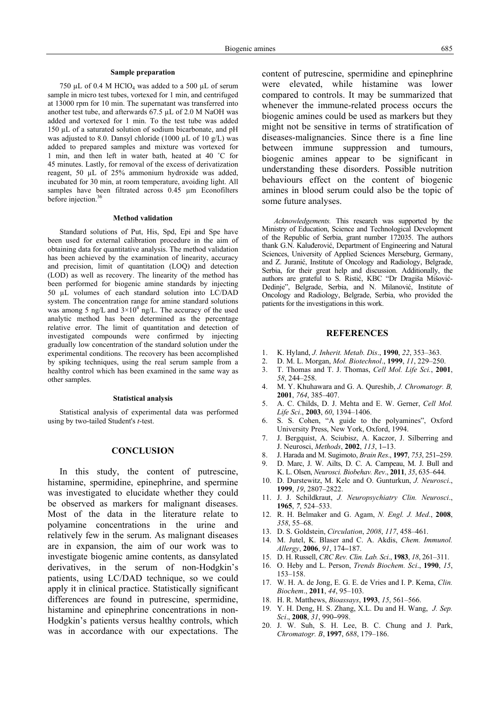### **Sample preparation**

750 µL of 0.4 M HClO<sub>4</sub> was added to a 500 µL of serum sample in micro test tubes, vortexed for 1 min, and centrifuged at 13000 rpm for 10 min. The supernatant was transferred into another test tube, and afterwards 67.5 µL of 2.0 M NaOH was added and vortexed for 1 min. To the test tube was added 150 µL of a saturated solution of sodium bicarbonate, and pH was adjusted to 8.0. Dansyl chloride (1000  $\mu$ L of 10 g/L) was added to prepared samples and mixture was vortexed for 1 min, and then left in water bath, heated at 40 ˚C for 45 minutes. Lastly, for removal of the excess of derivatization reagent, 50 µL of 25% ammonium hydroxide was added, incubated for 30 min, at room temperature, avoiding light. All samples have been filtrated across 0.45 µm Econofilters before injection.<sup>3</sup>

#### **Method validation**

Standard solutions of Put, His, Spd, Epi and Spe have been used for external calibration procedure in the aim of obtaining data for quantitative analysis. The method validation has been achieved by the examination of linearity, accuracy and precision, limit of quantitation (LOQ) and detection (LOD) as well as recovery. The linearity of the method has been performed for biogenic amine standards by injecting 50 µL volumes of each standard solution into LC/DAD system. The concentration range for amine standard solutions was among 5 ng/L and  $3 \times 10^4$  ng/L. The accuracy of the used analytic method has been determined as the percentage relative error. The limit of quantitation and detection of investigated compounds were confirmed by injecting gradually low concentration of the standard solution under the experimental conditions. The recovery has been accomplished by spiking techniques, using the real serum sample from a healthy control which has been examined in the same way as other samples.

#### **Statistical analysis**

Statistical analysis of experimental data was performed using by two-tailed Student's *t-*test.

### **CONCLUSION**

In this study, the content of putrescine, histamine, spermidine, epinephrine, and spermine was investigated to elucidate whether they could be observed as markers for malignant diseases. Most of the data in the literature relate to polyamine concentrations in the urine and relatively few in the serum. As malignant diseases are in expansion, the aim of our work was to investigate biogenic amine contents, as dansylated derivatives, in the serum of non-Hodgkin's patients, using LC/DAD technique, so we could apply it in clinical practice. Statistically significant differences are found in putrescine, spermidine, histamine and epinephrine concentrations in non-Hodgkin's patients versus healthy controls, which was in accordance with our expectations. The content of putrescine, spermidine and epinephrine were elevated, while histamine was lower compared to controls. It may be summarized that whenever the immune-related process occurs the biogenic amines could be used as markers but they might not be sensitive in terms of stratification of diseases-malignancies. Since there is a fine line between immune suppression and tumours, biogenic amines appear to be significant in understanding these disorders. Possible nutrition behaviours effect on the content of biogenic amines in blood serum could also be the topic of some future analyses.

*Acknowledgements.* This research was supported by the Ministry of Education, Science and Technological Development of the Republic of Serbia, grant number 172035. The authors thank G.N. Kaluđerović, Department of Engineering and Natural Sciences, University of Applied Sciences Merseburg, Germany, and Z. Juranić, Institute of Oncology and Radiology, Belgrade, Serbia, for their great help and discussion. Additionally, the authors are grateful to S. Ristić, KBC "Dr Dragiša Mišović-Dedinje", Belgrade, Serbia, and N. Milanović, Institute of Oncology and Radiology, Belgrade, Serbia, who provided the patients for the investigations in this work.

#### **REFERENCES**

- 1. K. Hyland, *J. Inherit. Metab. Dis*., **1990**, *22*, 353–363.
- 2. D. M. L. Morgan, *Mol. Biotechnol*., **1999**, *11*, 229–250.
- 3. T. Thomas and T. J. Thomas, *Cell Mol. Life Sci.*, **2001**, *58*, 244–258.
- 4. M. Y. Khuhawara and G. A. Qureshib, *J. Chromatogr. B,* **2001**, *764*, 385–407.
- 5. A. C. Childs, D. J. Mehta and E. W. Gerner, *Cell Mol. Life Sci*., **2003**, *60*, 1394–1406.
- 6. S. S. Cohen, "A guide to the polyamines", Oxford University Press, New York, Oxford, 1994.
- 7. J. Bergquist, A. Sciubisz, A. Kaczor, J. Silberring and J. Neurosci, *Methods*, **2002**, *113*, 1**–**13.
- 8. J. Harada and M. Sugimoto, *Brain Res*., **1997**, *753*, 251**–**259.
- 9. D. Marc, J. W. Ailts, D. C. A. Campeau, M. J. Bull and K. L. Olsen, *Neurosci. Biobehav. Rev*., **2011**, *35*, 635–644.
- 10. D. Durstewitz, M. Kelc and O. Gunturkun, *J. Neurosci*., **1999**, *19*, 2807–2822.
- 11. J. J. Schildkraut, *J. Neuropsychiatry Clin. Neurosci*., **1965**, *7*, 524–533.
- 12. R. H. Belmaker and G. Agam, *N. Engl. J. Med*., **2008**, *358*, 55–68.
- 13. D. S. Goldstein, *Circulation*, *2008*, *117*, 458–461.
- 14. M. Jutel, K. Blaser and C. A. Akdis, *Chem. Immunol. Allergy*, **2006**, *91*, 174**–**187.
- 15. D. H. Russell, *CRC Rev. Clin. Lab. Sci*., **1983**, *18*, 261–311.
- 16. O. Heby and L. Person, *Trends Biochem. Sci*., **1990**, *15*, 153–158.
- 17. W. H. A. de Jong, E. G. E. de Vries and I. P. Kema, *Clin. Biochem*., **2011**, *44*, 95–103.
- 18. H. R. Matthews, *Bioassays*, **1993**, *15*, 561–566.
- 19. Y. H. Deng, H. S. Zhang, X.L. Du and H. Wang, *J. Sep. Sci*., **2008**, *31*, 990**–**998.
- 20. J. W. Suh, S. H. Lee, B. C. Chung and J. Park, *Chromatogr. B*, **1997**, *688*, 179–186.